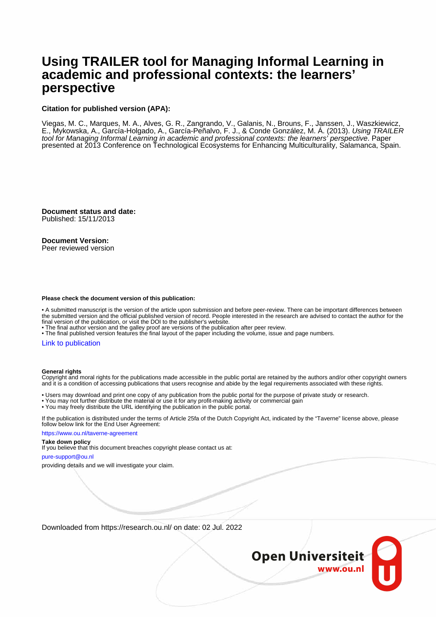# **Using TRAILER tool for Managing Informal Learning in academic and professional contexts: the learners' perspective**

#### **Citation for published version (APA):**

Viegas, M. C., Marques, M. A., Alves, G. R., Zangrando, V., Galanis, N., Brouns, F., Janssen, J., Waszkiewicz, E., Mykowska, A., García-Holgado, A., García-Peñalvo, F. J., & Conde González, M. A. (2013). *Using TRAILER* tool for Managing Informal Learning in academic and professional contexts: the learners' perspective. Paper presented at 2013 Conference on Technological Ecosystems for Enhancing Multiculturality, Salamanca, Spain.

**Document status and date:** Published: 15/11/2013

**Document Version:** Peer reviewed version

#### **Please check the document version of this publication:**

• A submitted manuscript is the version of the article upon submission and before peer-review. There can be important differences between the submitted version and the official published version of record. People interested in the research are advised to contact the author for the final version of the publication, or visit the DOI to the publisher's website.

• The final author version and the galley proof are versions of the publication after peer review.

• The final published version features the final layout of the paper including the volume, issue and page numbers.

#### [Link to publication](https://research.ou.nl/en/publications/68b78231-ceee-4133-95b3-b6df996cab03)

#### **General rights**

Copyright and moral rights for the publications made accessible in the public portal are retained by the authors and/or other copyright owners and it is a condition of accessing publications that users recognise and abide by the legal requirements associated with these rights.

• Users may download and print one copy of any publication from the public portal for the purpose of private study or research.

• You may not further distribute the material or use it for any profit-making activity or commercial gain

• You may freely distribute the URL identifying the publication in the public portal.

If the publication is distributed under the terms of Article 25fa of the Dutch Copyright Act, indicated by the "Taverne" license above, please follow below link for the End User Agreement:

https://www.ou.nl/taverne-agreement

#### **Take down policy**

If you believe that this document breaches copyright please contact us at:

#### pure-support@ou.nl

providing details and we will investigate your claim.

Downloaded from https://research.ou.nl/ on date: 02 Jul. 2022

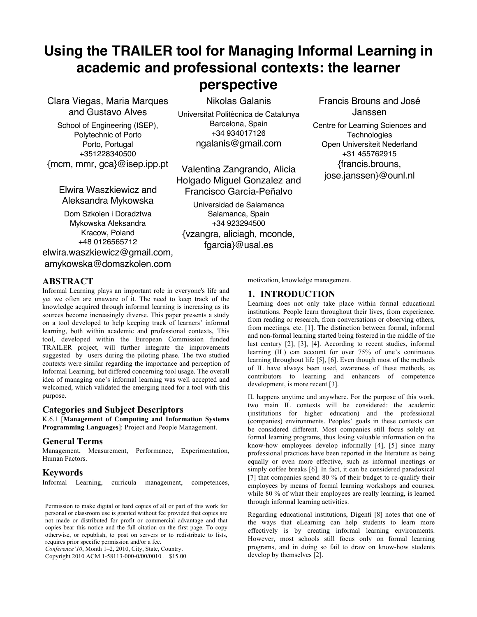# **Using the TRAILER tool for Managing Informal Learning in academic and professional contexts: the learner perspective**

Clara Viegas, Maria Marques and Gustavo Alves

School of Engineering (ISEP), Polytechnic of Porto Porto, Portugal +351228340500 {mcm, mmr, gca}@isep.ipp.pt

# Elwira Waszkiewicz and Aleksandra Mykowska

Dom Szkolen i Doradztwa Mykowska Aleksandra Kracow, Poland +48 0126565712

elwira.waszkiewicz@gmail.com, amykowska@domszkolen.com

Nikolas Galanis

Universitat Politècnica de Catalunya Barcelona, Spain +34 934017126 ngalanis@gmail.com

Valentina Zangrando, Alicia Holgado Miguel Gonzalez and Francisco García-Peñalvo

Universidad de Salamanca Salamanca, Spain +34 923294500 {vzangra, aliciagh, mconde, fgarcia}@usal.es

Francis Brouns and José Janssen

Centre for Learning Sciences and **Technologies** Open Universiteit Nederland +31 455762915 {francis.brouns, jose.janssen}@ounl.nl

motivation, knowledge management.

## **1. INTRODUCTION**

Learning does not only take place within formal educational institutions. People learn throughout their lives, from experience, from reading or research, from conversations or observing others, from meetings, etc. [1]. The distinction between formal, informal and non-formal learning started being fostered in the middle of the last century [2], [3], [4]. According to recent studies, informal learning (IL) can account for over 75% of one's continuous learning throughout life [5], [6]. Even though most of the methods of IL have always been used, awareness of these methods, as contributors to learning and enhancers of competence development, is more recent [3].

IL happens anytime and anywhere. For the purpose of this work, two main IL contexts will be considered: the academic (institutions for higher education) and the professional (companies) environments. Peoples' goals in these contexts can be considered different. Most companies still focus solely on formal learning programs, thus losing valuable information on the know-how employees develop informally [4], [5] since many professional practices have been reported in the literature as being equally or even more effective, such as informal meetings or simply coffee breaks [6]. In fact, it can be considered paradoxical [7] that companies spend 80 % of their budget to re-qualify their employees by means of formal learning workshops and courses, while 80 % of what their employees are really learning, is learned through informal learning activities.

Regarding educational institutions, Digenti [8] notes that one of the ways that eLearning can help students to learn more effectively is by creating informal learning environments. However, most schools still focus only on formal learning programs, and in doing so fail to draw on know-how students develop by themselves [2].

# **ABSTRACT**

Informal Learning plays an important role in everyone's life and yet we often are unaware of it. The need to keep track of the knowledge acquired through informal learning is increasing as its sources become increasingly diverse. This paper presents a study on a tool developed to help keeping track of learners' informal learning, both within academic and professional contexts, This tool, developed within the European Commission funded TRAILER project, will further integrate the improvements suggested by users during the piloting phase. The two studied contexts were similar regarding the importance and perception of Informal Learning, but differed concerning tool usage. The overall idea of managing one's informal learning was well accepted and welcomed, which validated the emerging need for a tool with this purpose.

## **Categories and Subject Descriptors**

K.6.1 [**Management of Computing and Information Systems Programming Languages**]: Project and People Management.

# **General Terms**

Management, Measurement, Performance, Experimentation, Human Factors.

# **Keywords**

Informal Learning, curricula management, competences,

Permission to make digital or hard copies of all or part of this work for personal or classroom use is granted without fee provided that copies are not made or distributed for profit or commercial advantage and that copies bear this notice and the full citation on the first page. To copy otherwise, or republish, to post on servers or to redistribute to lists, requires prior specific permission and/or a fee.

*Conference'10*, Month 1–2, 2010, City, State, Country.

Copyright 2010 ACM 1-58113-000-0/00/0010 …\$15.00.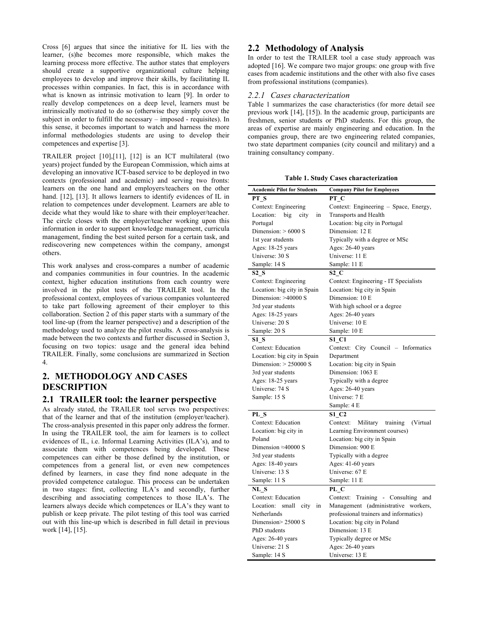Cross [6] argues that since the initiative for IL lies with the learner, (s)he becomes more responsible, which makes the learning process more effective. The author states that employers should create a supportive organizational culture helping employees to develop and improve their skills, by facilitating IL processes within companies. In fact, this is in accordance with what is known as intrinsic motivation to learn [9]. In order to really develop competences on a deep level, learners must be intrinsically motivated to do so (otherwise they simply cover the subject in order to fulfill the necessary – imposed - requisites). In this sense, it becomes important to watch and harness the more informal methodologies students are using to develop their competences and expertise [3].

TRAILER project [10],[11], [12] is an ICT multilateral (two years) project funded by the European Commission, which aims at developing an innovative ICT-based service to be deployed in two contexts (professional and academic) and serving two fronts: learners on the one hand and employers/teachers on the other hand. [12], [13]. It allows learners to identify evidences of IL in relation to competences under development. Learners are able to decide what they would like to share with their employer/teacher. The circle closes with the employer/teacher working upon this information in order to support knowledge management, curricula management, finding the best suited person for a certain task, and rediscovering new competences within the company, amongst others.

This work analyses and cross-compares a number of academic and companies communities in four countries. In the academic context, higher education institutions from each country were involved in the pilot tests of the TRAILER tool. In the professional context, employees of various companies volunteered to take part following agreement of their employer to this collaboration. Section 2 of this paper starts with a summary of the tool line-up (from the learner perspective) and a description of the methodology used to analyze the pilot results. A cross-analysis is made between the two contexts and further discussed in Section 3, focusing on two topics: usage and the general idea behind TRAILER. Finally, some conclusions are summarized in Section 4.

# **2. METHODOLOGY AND CASES DESCRIPTION**

#### **2.1 TRAILER tool: the learner perspective**

As already stated, the TRAILER tool serves two perspectives: that of the learner and that of the institution (employer/teacher). The cross-analysis presented in this paper only address the former. In using the TRAILER tool, the aim for learners is to collect evidences of IL, i.e. Informal Learning Activities (ILA's), and to associate them with competences being developed. These competences can either be those defined by the institution, or competences from a general list, or even new competences defined by learners, in case they find none adequate in the provided competence catalogue. This process can be undertaken in two stages: first, collecting ILA's and secondly, further describing and associating competences to those ILA's. The learners always decide which competences or ILA's they want to publish or keep private. The pilot testing of this tool was carried out with this line-up which is described in full detail in previous work [14], [15].

## **2.2 Methodology of Analysis**

In order to test the TRAILER tool a case study approach was adopted [16]. We compare two major groups: one group with five cases from academic institutions and the other with also five cases from professional institutions (companies).

### *2.2.1 Cases characterization*

Table 1 summarizes the case characteristics (for more detail see previous work [14], [15]). In the academic group, participants are freshmen, senior students or PhD students. For this group, the areas of expertise are mainly engineering and education. In the companies group, there are two engineering related companies, two state department companies (city council and military) and a training consultancy company.

**Table 1. Study Cases characterization**

| <b>Academic Pilot for Students</b> | <b>Company Pilot for Employees</b>         |  |  |
|------------------------------------|--------------------------------------------|--|--|
| PT S                               | PT_C                                       |  |  |
| Context: Engineering               | Context: Engineering - Space, Energy,      |  |  |
| Location:<br>city<br>big<br>in     | Transports and Health                      |  |  |
| Portugal                           | Location: big city in Portugal             |  |  |
| Dimension: $> 6000$ S              | Dimension: 12 E                            |  |  |
| 1st year students                  | Typically with a degree or MSc             |  |  |
| Ages: 18-25 years                  | Ages: 26-40 years                          |  |  |
| Universe: 30 S                     | Universe: 11 E                             |  |  |
| Sample: 14 S                       | Sample: 11 E                               |  |  |
| S2S                                | $S2_C$                                     |  |  |
| Context: Engineering               | Context: Engineering - IT Specialists      |  |  |
| Location: big city in Spain        | Location: big city in Spain                |  |  |
| Dimension: >40000 S                | Dimension: 10 E                            |  |  |
| 3rd year students                  | With high school or a degree               |  |  |
| Ages: 18-25 years                  | Ages: 26-40 years                          |  |  |
| Universe: 20 S                     | Universe: 10 E                             |  |  |
| Sample: 20 S                       | Sample: 10 E                               |  |  |
| S1 S                               | S1 C1                                      |  |  |
| Context: Education                 | Context: City Council - Informatics        |  |  |
| Location: big city in Spain        | Department                                 |  |  |
| Dimension: $> 250000$ S            | Location: big city in Spain                |  |  |
| 3rd year students                  | Dimension: 1063 E                          |  |  |
| Ages: 18-25 years                  | Typically with a degree                    |  |  |
| Universe: 74 S                     | Ages: 26-40 years                          |  |  |
| Sample: 15 S                       | Universe: 7 E                              |  |  |
|                                    | Sample: 4 E                                |  |  |
| $\overline{PL\_S}$                 | S1 C2                                      |  |  |
| Context: Education                 | Context:<br>Military training<br>(Virtual) |  |  |
| Location: big city in              | Learning Environment courses)              |  |  |
| Poland                             | Location: big city in Spain                |  |  |
| Dimension $\approx$ 40000 S        | Dimension: 900 E                           |  |  |
| 3rd year students                  | Typically with a degree                    |  |  |
| Ages: 18-40 years                  | Ages: 41-60 years                          |  |  |
| Universe: 13 S                     | Universe: 67 E                             |  |  |
| Sample: 11 S                       | Sample: 11 E                               |  |  |
| NL S                               | PL C                                       |  |  |
| Context: Education                 | Context:<br>Training - Consulting and      |  |  |
| Location: small city<br>in         | Management (administrative workers,        |  |  |
| Netherlands                        | professional trainers and informatics)     |  |  |
| Dimension $> 25000$ S              | Location: big city in Poland               |  |  |
| PhD students                       | Dimension: 13 E                            |  |  |
| Ages: 26-40 years                  | Typically degree or MSc                    |  |  |
| Universe: 21 S                     | Ages: 26-40 years                          |  |  |
| Sample: 14 S                       | Universe: 13 E                             |  |  |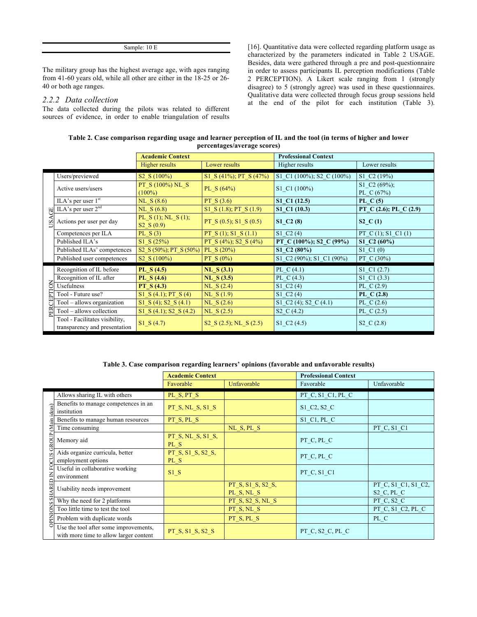#### Sample: 10 E

The military group has the highest average age, with ages ranging from 41-60 years old, while all other are either in the 18-25 or 26- 40 or both age ranges.

#### *2.2.2 Data collection*

The data collected during the pilots was related to different sources of evidence, in order to enable triangulation of results [16]. Quantitative data were collected regarding platform usage as characterized by the parameters indicated in Table 2 USAGE. Besides, data were gathered through a pre and post-questionnaire in order to assess participants IL perception modifications (Table 2 PERCEPTION). A Likert scale ranging from 1 (strongly disagree) to 5 (strongly agree) was used in these questionnaires. Qualitative data were collected through focus group sessions held at the end of the pilot for each institution (Table 3).

| Table 2. Case comparison regarding usage and learner perception of IL and the tool (in terms of higher and lower |
|------------------------------------------------------------------------------------------------------------------|
| percentages/average scores)                                                                                      |

|             |                                                                 | <b>Academic Context</b>              |                                       | <b>Professional Context</b>    |                              |
|-------------|-----------------------------------------------------------------|--------------------------------------|---------------------------------------|--------------------------------|------------------------------|
|             |                                                                 | Higher results                       | Lower results                         | Higher results                 | Lower results                |
| <b>AGE</b>  | Users/previewed                                                 | $S2 S(100\%)$                        | S1 S (41%); PT S (47%)                | S1 C1 (100%); S2 C (100%)      | S1 C2 (19%)                  |
|             | Active users/users                                              | PT S (100%) NL S<br>$(100\%)$        | PL $S(64%)$                           | S1 C1 (100%)                   | S1_C2 (69%);<br>PL C $(67%)$ |
|             | ILA's per user $1st$                                            | NL S(8.6)                            | PT $S(3.6)$                           | S1 C1 (12.5)                   | PL $C(5)$                    |
|             | ILA's per user $2nd$                                            | NL S(6.8)                            | $S1_S(1.8)$ ; PT <sub>S</sub> $(1.9)$ | S1 C1 (10.3)                   | PT_C $(2.6)$ ; PL_C $(2.9)$  |
|             | Actions per user per day                                        | PL $S(1)$ ; NL $S(1)$ ;<br>S2 S(0.9) | PT S $(0.5)$ ; S1 S $(0.5)$           | $S1\;C2\;(8)$                  | S2 $C(1)$                    |
|             | Competences per ILA                                             | PL $S(3)$                            | PT $S(1)$ ; S1 $S(1.1)$               | $S1$ C <sub>2</sub> (4)        | PT $C(1)$ ; S1 $C1(1)$       |
|             | Published ILA's                                                 | S1 S (25%)                           | PT S $(4\%)$ ; S2 S $(4\%)$           | PT C $(100\%)$ ; S2 C $(99\%)$ | S1 C2 (60%)                  |
|             | Published ILAs' competences                                     | S2 S $(50\%)$ ; PT S $(50\%)$        | PL S $(20\%)$                         | $S1\;C2\; (80\%)$              | $S1 \; Cl (0)$               |
|             | Published user competences                                      | $S2 S(100\%)$                        | PT $S(0\%)$                           | S1_C2 (90%); S1_C1 (90%)       | PT_C (30%)                   |
| 5<br>H<br>ã | Recognition of IL before                                        | $PL_S(4.5)$                          | $NL_S(3.1)$                           | $PL_C(4.1)$                    | $S1_C1(2.7)$                 |
|             | Recognition of IL after                                         | PL $S(4.6)$                          | NL S(3.5)                             | PL $C(4.3)$                    | S1 C1 (3.3)                  |
|             | Usefulness                                                      | PT $S(4.3)$                          | $NL_S(2.4)$                           | $S1 \ C2 (4)$                  | PL $C(2.9)$                  |
|             | Tool - Future use?                                              | S1 S $(4.1)$ ; PT S $(4)$            | $NL_S(1.9)$                           | $S1 \ C2(4)$                   | PL_C $(2.8)$                 |
|             | Tool - allows organization                                      | $S1_S(4)$ ; $S2_S(4.1)$              | NL S(2.6)                             | S1 C2 (4); S2 C (4.1)          | PL $C(2.6)$                  |
|             | Tool – allows collection                                        | S1 S(4.1); S2 S(4.2)                 | $NL_S(2.5)$                           | S2 $C(4.2)$                    | PL $C(2.5)$                  |
|             | Tool - Facilitates visibility,<br>transparency and presentation | $S1_S(4.7)$                          | S2 S $(2.5)$ ; NL S $(2.5)$           | $S1\;C2(4.5)$                  | S2 $C(2.8)$                  |

#### **Table 3. Case comparison regarding learners' opinions (favorable and unfavorable results)**

|         |                                                                                 | <b>Academic Context</b>     |                                   | <b>Professional Context</b> |                                               |
|---------|---------------------------------------------------------------------------------|-----------------------------|-----------------------------------|-----------------------------|-----------------------------------------------|
|         |                                                                                 | Favorable                   | Unfavorable                       | Favorable                   | Unfavorable                                   |
| $class$ | Allows sharing IL with others                                                   | $PL_S, PT_S$                |                                   | PT C, S1 C1, PL C           |                                               |
|         | Benefits to manage competences in an<br>institution                             | $PT_S, NL_S, S1_S$          |                                   | S1_C2, S2_C                 |                                               |
|         | Benefits to manage human resources                                              | PT S, PL S                  |                                   | S1 C1, PL C                 |                                               |
|         | Time consuming                                                                  |                             | $NL_S, PL_S$                      |                             | PT C, S1 C1                                   |
|         | Memory aid                                                                      | PT $S, NL S, S1 S,$<br>PL S |                                   | PT C, PL C                  |                                               |
|         | Aids organize curricula, better<br>employment options                           | $PT_S, S1_S, S2_S,$<br>PL S |                                   | PT C, PL C                  |                                               |
|         | Useful in collaborative working<br>environment                                  | $S1_S$                      |                                   | PT C, S1 C1                 |                                               |
|         | Usability needs improvement                                                     |                             | $PT_S, S1_S, S2_S,$<br>PL S, NL S |                             | PT C, S1 C1, S1 C2,<br>S <sub>2</sub> C, PL C |
|         | Why the need for 2 platforms                                                    |                             | PT $S, S2 S, NL S$                |                             | PT C, S2 C                                    |
|         | Too little time to test the tool                                                |                             | $PT_S, NL_S$                      |                             | PT C, S1 C2, PL C                             |
|         | Problem with duplicate words                                                    |                             | $PT_S, PL_S$                      |                             | $PL_C$                                        |
|         | Use the tool after some improvements,<br>with more time to allow larger content | $PT_S, SI_S, S2_S$          |                                   | PT_C, S2_C, PL_C            |                                               |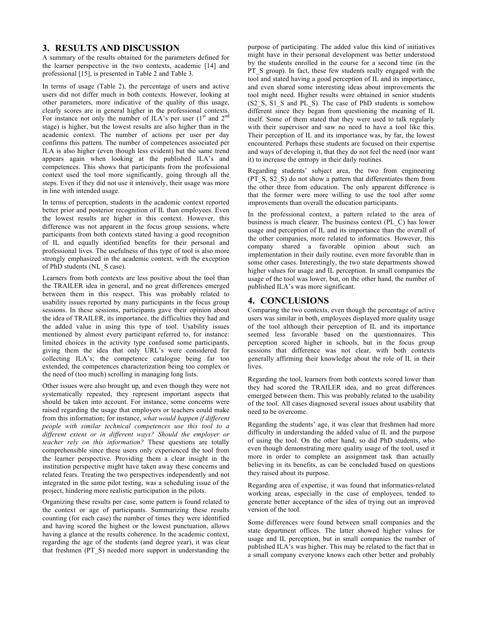## **3. RESULTS AND DISCUSSION**

A summary of the results obtained for the parameters defined for the learner perspective in the two contexts, academic [14] and professional [15], is presented in Table 2 and Table 3.

In terms of usage (Table 2), the percentage of users and active users did not differ much in both contexts. However, looking at other parameters, more indicative of the quality of this usage, clearly scores are in general higher in the professional contexts. For instance not only the number of ILA's per user  $(1<sup>st</sup>$  and  $2<sup>nd</sup>$ stage) is higher, but the lowest results are also higher than in the academic context. The number of actions per user per day confirms this pattern. The number of competences associated per ILA is also higher (even though less evident) but the same trend appears again when looking at the published ILA's and competences. This shows that participants from the professional context used the tool more significantly, going through all the steps. Even if they did not use it intensively, their usage was more in line with intended usage.

In terms of perception, students in the academic context reported better prior and posterior recognition of IL than employees. Even the lowest results are higher in this context. However, this difference was not apparent in the focus group sessions, where participants from both contexts stated having a good recognition of IL and equally identified benefits for their personal and professional lives. The usefulness of this type of tool is also more strongly emphasized in the academic context, with the exception of PhD students (NL\_S case).

Learners from both contexts are less positive about the tool than the TRAILER idea in general, and no great differences emerged between them in this respect. This was probably related to usability issues reported by many participants in the focus group sessions. In these sessions, participants gave their opinion about the idea of TRAILER, its importance, the difficulties they had and the added value in using this type of tool. Usability issues mentioned by almost every participant referred to, for instance: limited choices in the activity type confused some participants, giving them the idea that only URL's were considered for collecting ILA's; the competence catalogue being far too extended, the competences characterization being too complex or the need of (too much) scrolling in managing long lists.

Other issues were also brought up, and even though they were not systematically repeated, they represent important aspects that should be taken into account. For instance, some concerns were raised regarding the usage that employers or teachers could make from this information; for instance, *what would happen if different people with similar technical competences use this tool to a different extent or in different ways? Should the employer or teacher rely on this information?* These questions are totally comprehensible since these users only experienced the tool from the learner perspective. Providing them a clear insight in the institution perspective might have taken away these concerns and related fears. Treating the two perspectives independently and not integrated in the same pilot testing, was a scheduling issue of the project, hindering more realistic participation in the pilots.

Organizing these results per case, some pattern is found related to the context or age of participants. Summarizing these results counting (for each case) the number of times they were identified and having scored the highest or the lowest punctuation, allows having a glance at the results coherence. In the academic context, regarding the age of the students (and degree year), it was clear that freshmen (PT\_S) needed more support in understanding the

purpose of participating. The added value this kind of initiatives might have in their personal development was better understood by the students enrolled in the course for a second time (in the PT\_S group). In fact, these few students really engaged with the tool and stated having a good perception of IL and its importance, and even shared some interesting ideas about improvements the tool might need. Higher results were obtained in senior students (S2\_S, S1\_S and PL\_S). The case of PhD students is somehow different since they began from questioning the meaning of IL itself. Some of them stated that they were used to talk regularly with their supervisor and saw no need to have a tool like this. Their perception of IL and its importance was, by far, the lowest encountered. Perhaps these students are focused on their expertise and ways of developing it, that they do not feel the need (nor want it) to increase the entropy in their daily routines.

Regarding students' subject area, the two from engineering (PT\_S, S2\_S) do not show a pattern that differentiates them from the other three from education. The only apparent difference is that the former were more willing to use the tool after some improvements than overall the education participants.

In the professional context, a pattern related to the area of business is much clearer. The business context (PL\_C) has lower usage and perception of IL and its importance than the overall of the other companies, more related to informatics. However, this company shared a favorable opinion about such an implementation in their daily routine, even more favorable than in some other cases. Interestingly, the two state departments showed higher values for usage and IL perception. In small companies the usage of the tool was lower, but, on the other hand, the number of published ILA's was more significant.

# **4. CONCLUSIONS**

Comparing the two contexts, even though the percentage of active users was similar in both, employees displayed more quality usage of the tool although their perception of IL and its importance seemed less favorable based on the questionnaires. This perception scored higher in schools, but in the focus group sessions that difference was not clear, with both contexts generally affirming their knowledge about the role of IL in their lives.

Regarding the tool, learners from both contexts scored lower than they had scored the TRAILER idea, and no great differences emerged between them. This was probably related to the usability of the tool. All cases diagnosed several issues about usability that need to be overcome.

Regarding the students' age, it was clear that freshmen had more difficulty in understanding the added value of IL and the purpose of using the tool. On the other hand, so did PhD students, who even though demonstrating more quality usage of the tool, used it more in order to complete an assignment task than actually believing in its benefits, as can be concluded based on questions they raised about its purpose.

Regarding area of expertise, it was found that informatics-related working areas, especially in the case of employees, tended to generate better acceptance of the idea of trying out an improved version of the tool.

Some differences were found between small companies and the state department offices. The latter showed higher values for usage and IL perception, but in small companies the number of published ILA's was higher. This may be related to the fact that in a small company everyone knows each other better and probably